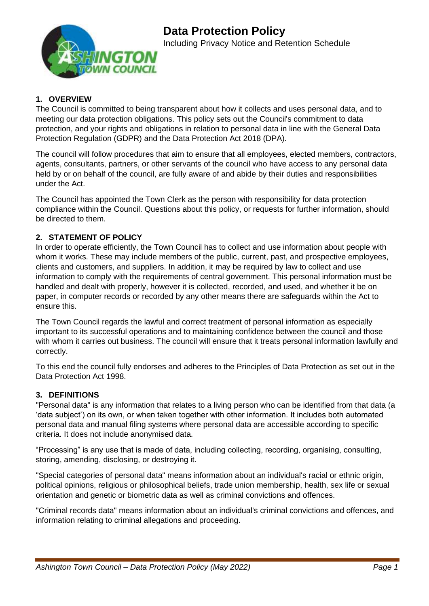

# **1. OVERVIEW**

The Council is committed to being transparent about how it collects and uses personal data, and to meeting our data protection obligations. This policy sets out the Council's commitment to data protection, and your rights and obligations in relation to personal data in line with the General Data Protection Regulation (GDPR) and the Data Protection Act 2018 (DPA).

The council will follow procedures that aim to ensure that all employees, elected members, contractors, agents, consultants, partners, or other servants of the council who have access to any personal data held by or on behalf of the council, are fully aware of and abide by their duties and responsibilities under the Act.

The Council has appointed the Town Clerk as the person with responsibility for data protection compliance within the Council. Questions about this policy, or requests for further information, should be directed to them.

# **2. STATEMENT OF POLICY**

In order to operate efficiently, the Town Council has to collect and use information about people with whom it works. These may include members of the public, current, past, and prospective employees, clients and customers, and suppliers. In addition, it may be required by law to collect and use information to comply with the requirements of central government. This personal information must be handled and dealt with properly, however it is collected, recorded, and used, and whether it be on paper, in computer records or recorded by any other means there are safeguards within the Act to ensure this.

The Town Council regards the lawful and correct treatment of personal information as especially important to its successful operations and to maintaining confidence between the council and those with whom it carries out business. The council will ensure that it treats personal information lawfully and correctly.

To this end the council fully endorses and adheres to the Principles of Data Protection as set out in the Data Protection Act 1998.

## **3. DEFINITIONS**

"Personal data" is any information that relates to a living person who can be identified from that data (a 'data subject') on its own, or when taken together with other information. It includes both automated personal data and manual filing systems where personal data are accessible according to specific criteria. It does not include anonymised data.

"Processing" is any use that is made of data, including collecting, recording, organising, consulting, storing, amending, disclosing, or destroying it.

"Special categories of personal data" means information about an individual's racial or ethnic origin, political opinions, religious or philosophical beliefs, trade union membership, health, sex life or sexual orientation and genetic or biometric data as well as criminal convictions and offences.

"Criminal records data" means information about an individual's criminal convictions and offences, and information relating to criminal allegations and proceeding.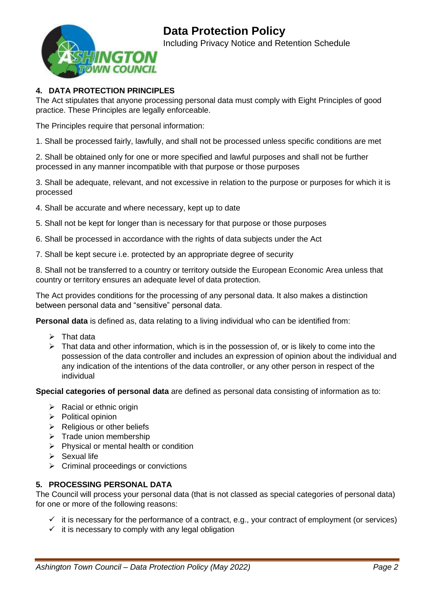

# **4. DATA PROTECTION PRINCIPLES**

The Act stipulates that anyone processing personal data must comply with Eight Principles of good practice. These Principles are legally enforceable.

The Principles require that personal information:

1. Shall be processed fairly, lawfully, and shall not be processed unless specific conditions are met

2. Shall be obtained only for one or more specified and lawful purposes and shall not be further processed in any manner incompatible with that purpose or those purposes

3. Shall be adequate, relevant, and not excessive in relation to the purpose or purposes for which it is processed

- 4. Shall be accurate and where necessary, kept up to date
- 5. Shall not be kept for longer than is necessary for that purpose or those purposes
- 6. Shall be processed in accordance with the rights of data subjects under the Act
- 7. Shall be kept secure i.e. protected by an appropriate degree of security

8. Shall not be transferred to a country or territory outside the European Economic Area unless that country or territory ensures an adequate level of data protection.

The Act provides conditions for the processing of any personal data. It also makes a distinction between personal data and "sensitive" personal data.

**Personal data** is defined as, data relating to a living individual who can be identified from:

- $\triangleright$  That data
- $\triangleright$  That data and other information, which is in the possession of, or is likely to come into the possession of the data controller and includes an expression of opinion about the individual and any indication of the intentions of the data controller, or any other person in respect of the individual

**Special categories of personal data** are defined as personal data consisting of information as to:

- $\triangleright$  Racial or ethnic origin
- ➢ Political opinion
- ➢ Religious or other beliefs
- ➢ Trade union membership
- ➢ Physical or mental health or condition
- $\triangleright$  Sexual life
- ➢ Criminal proceedings or convictions

## **5. PROCESSING PERSONAL DATA**

The Council will process your personal data (that is not classed as special categories of personal data) for one or more of the following reasons:

- $\checkmark$  it is necessary for the performance of a contract, e.g., your contract of employment (or services)
- $\checkmark$  it is necessary to comply with any legal obligation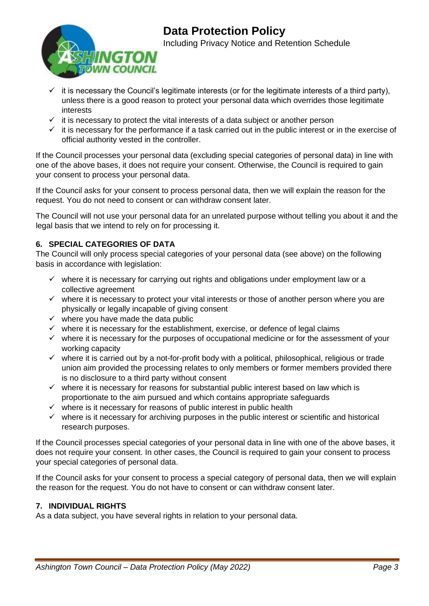

- $\checkmark$  it is necessary the Council's legitimate interests (or for the legitimate interests of a third party), unless there is a good reason to protect your personal data which overrides those legitimate interests
- $\checkmark$  it is necessary to protect the vital interests of a data subject or another person
- $\checkmark$  it is necessary for the performance if a task carried out in the public interest or in the exercise of official authority vested in the controller.

If the Council processes your personal data (excluding special categories of personal data) in line with one of the above bases, it does not require your consent. Otherwise, the Council is required to gain your consent to process your personal data.

If the Council asks for your consent to process personal data, then we will explain the reason for the request. You do not need to consent or can withdraw consent later.

The Council will not use your personal data for an unrelated purpose without telling you about it and the legal basis that we intend to rely on for processing it.

# **6. SPECIAL CATEGORIES OF DATA**

The Council will only process special categories of your personal data (see above) on the following basis in accordance with legislation:

- ✓ where it is necessary for carrying out rights and obligations under employment law or a collective agreement
- ✓ where it is necessary to protect your vital interests or those of another person where you are physically or legally incapable of giving consent
- $\checkmark$  where you have made the data public
- $\checkmark$  where it is necessary for the establishment, exercise, or defence of legal claims
- $\checkmark$  where it is necessary for the purposes of occupational medicine or for the assessment of your working capacity
- $\checkmark$  where it is carried out by a not-for-profit body with a political, philosophical, religious or trade union aim provided the processing relates to only members or former members provided there is no disclosure to a third party without consent
- $\checkmark$  where it is necessary for reasons for substantial public interest based on law which is proportionate to the aim pursued and which contains appropriate safeguards
- $\checkmark$  where is it necessary for reasons of public interest in public health
- $\checkmark$  where is it necessary for archiving purposes in the public interest or scientific and historical research purposes.

If the Council processes special categories of your personal data in line with one of the above bases, it does not require your consent. In other cases, the Council is required to gain your consent to process your special categories of personal data.

If the Council asks for your consent to process a special category of personal data, then we will explain the reason for the request. You do not have to consent or can withdraw consent later.

## **7. INDIVIDUAL RIGHTS**

As a data subject, you have several rights in relation to your personal data.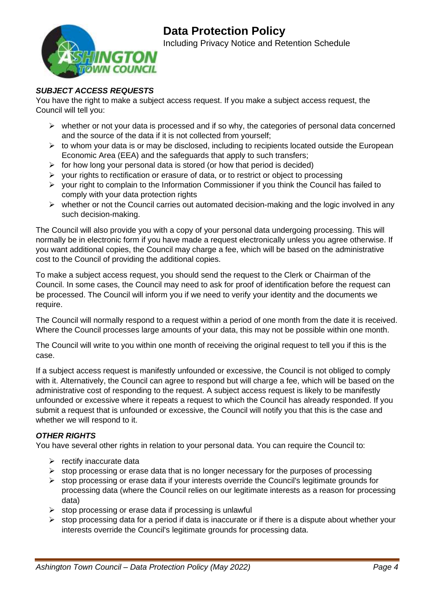

# *SUBJECT ACCESS REQUESTS*

You have the right to make a subject access request. If you make a subject access request, the Council will tell you:

- ➢ whether or not your data is processed and if so why, the categories of personal data concerned and the source of the data if it is not collected from yourself;
- $\triangleright$  to whom your data is or may be disclosed, including to recipients located outside the European Economic Area (EEA) and the safeguards that apply to such transfers;
- $\triangleright$  for how long your personal data is stored (or how that period is decided)
- ➢ your rights to rectification or erasure of data, or to restrict or object to processing
- ➢ your right to complain to the Information Commissioner if you think the Council has failed to comply with your data protection rights
- ➢ whether or not the Council carries out automated decision-making and the logic involved in any such decision-making.

The Council will also provide you with a copy of your personal data undergoing processing. This will normally be in electronic form if you have made a request electronically unless you agree otherwise. If you want additional copies, the Council may charge a fee, which will be based on the administrative cost to the Council of providing the additional copies.

To make a subject access request, you should send the request to the Clerk or Chairman of the Council. In some cases, the Council may need to ask for proof of identification before the request can be processed. The Council will inform you if we need to verify your identity and the documents we require.

The Council will normally respond to a request within a period of one month from the date it is received. Where the Council processes large amounts of your data, this may not be possible within one month.

The Council will write to you within one month of receiving the original request to tell you if this is the case.

If a subject access request is manifestly unfounded or excessive, the Council is not obliged to comply with it. Alternatively, the Council can agree to respond but will charge a fee, which will be based on the administrative cost of responding to the request. A subject access request is likely to be manifestly unfounded or excessive where it repeats a request to which the Council has already responded. If you submit a request that is unfounded or excessive, the Council will notify you that this is the case and whether we will respond to it.

## *OTHER RIGHTS*

You have several other rights in relation to your personal data. You can require the Council to:

- $\triangleright$  rectify inaccurate data
- ➢ stop processing or erase data that is no longer necessary for the purposes of processing
- ➢ stop processing or erase data if your interests override the Council's legitimate grounds for processing data (where the Council relies on our legitimate interests as a reason for processing data)
- $\triangleright$  stop processing or erase data if processing is unlawful
- $\triangleright$  stop processing data for a period if data is inaccurate or if there is a dispute about whether your interests override the Council's legitimate grounds for processing data.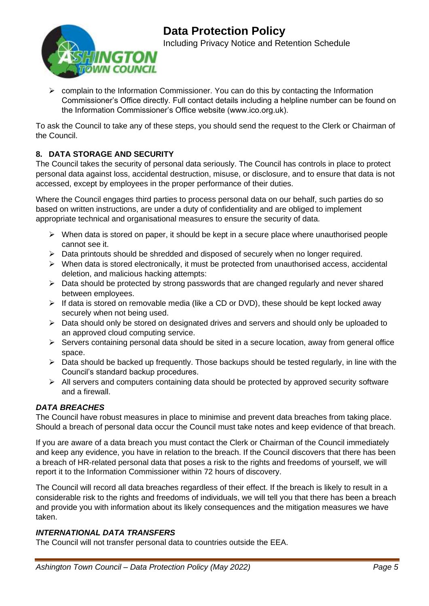

➢ complain to the Information Commissioner. You can do this by contacting the Information Commissioner's Office directly. Full contact details including a helpline number can be found on the Information Commissioner's Office website (www.ico.org.uk).

To ask the Council to take any of these steps, you should send the request to the Clerk or Chairman of the Council.

# **8. DATA STORAGE AND SECURITY**

The Council takes the security of personal data seriously. The Council has controls in place to protect personal data against loss, accidental destruction, misuse, or disclosure, and to ensure that data is not accessed, except by employees in the proper performance of their duties.

Where the Council engages third parties to process personal data on our behalf, such parties do so based on written instructions, are under a duty of confidentiality and are obliged to implement appropriate technical and organisational measures to ensure the security of data.

- $\triangleright$  When data is stored on paper, it should be kept in a secure place where unauthorised people cannot see it.
- $\triangleright$  Data printouts should be shredded and disposed of securely when no longer required.
- $\triangleright$  When data is stored electronically, it must be protected from unauthorised access, accidental deletion, and malicious hacking attempts:
- ➢ Data should be protected by strong passwords that are changed regularly and never shared between employees.
- ➢ If data is stored on removable media (like a CD or DVD), these should be kept locked away securely when not being used.
- ➢ Data should only be stored on designated drives and servers and should only be uploaded to an approved cloud computing service.
- ➢ Servers containing personal data should be sited in a secure location, away from general office space.
- $\triangleright$  Data should be backed up frequently. Those backups should be tested regularly, in line with the Council's standard backup procedures.
- $\triangleright$  All servers and computers containing data should be protected by approved security software and a firewall.

# *DATA BREACHES*

The Council have robust measures in place to minimise and prevent data breaches from taking place. Should a breach of personal data occur the Council must take notes and keep evidence of that breach.

If you are aware of a data breach you must contact the Clerk or Chairman of the Council immediately and keep any evidence, you have in relation to the breach. If the Council discovers that there has been a breach of HR-related personal data that poses a risk to the rights and freedoms of yourself, we will report it to the Information Commissioner within 72 hours of discovery.

The Council will record all data breaches regardless of their effect. If the breach is likely to result in a considerable risk to the rights and freedoms of individuals, we will tell you that there has been a breach and provide you with information about its likely consequences and the mitigation measures we have taken.

# *INTERNATIONAL DATA TRANSFERS*

The Council will not transfer personal data to countries outside the EEA.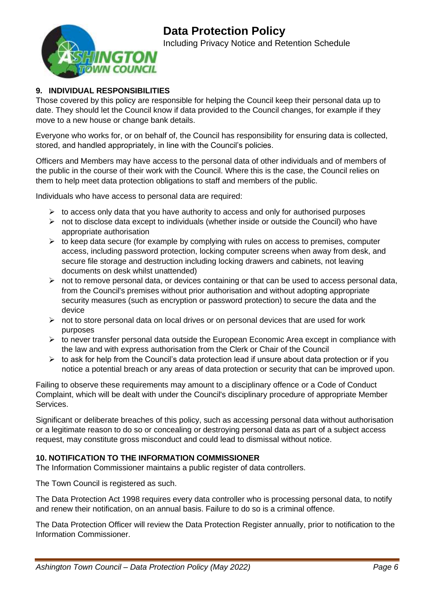

# **9. INDIVIDUAL RESPONSIBILITIES**

Those covered by this policy are responsible for helping the Council keep their personal data up to date. They should let the Council know if data provided to the Council changes, for example if they move to a new house or change bank details.

Everyone who works for, or on behalf of, the Council has responsibility for ensuring data is collected, stored, and handled appropriately, in line with the Council's policies.

Officers and Members may have access to the personal data of other individuals and of members of the public in the course of their work with the Council. Where this is the case, the Council relies on them to help meet data protection obligations to staff and members of the public.

Individuals who have access to personal data are required:

- ➢ to access only data that you have authority to access and only for authorised purposes
- ➢ not to disclose data except to individuals (whether inside or outside the Council) who have appropriate authorisation
- $\triangleright$  to keep data secure (for example by complying with rules on access to premises, computer access, including password protection, locking computer screens when away from desk, and secure file storage and destruction including locking drawers and cabinets, not leaving documents on desk whilst unattended)
- $\triangleright$  not to remove personal data, or devices containing or that can be used to access personal data, from the Council's premises without prior authorisation and without adopting appropriate security measures (such as encryption or password protection) to secure the data and the device
- ➢ not to store personal data on local drives or on personal devices that are used for work purposes
- $\triangleright$  to never transfer personal data outside the European Economic Area except in compliance with the law and with express authorisation from the Clerk or Chair of the Council
- $\triangleright$  to ask for help from the Council's data protection lead if unsure about data protection or if you notice a potential breach or any areas of data protection or security that can be improved upon.

Failing to observe these requirements may amount to a disciplinary offence or a Code of Conduct Complaint, which will be dealt with under the Council's disciplinary procedure of appropriate Member Services.

Significant or deliberate breaches of this policy, such as accessing personal data without authorisation or a legitimate reason to do so or concealing or destroying personal data as part of a subject access request, may constitute gross misconduct and could lead to dismissal without notice.

## **10. NOTIFICATION TO THE INFORMATION COMMISSIONER**

The Information Commissioner maintains a public register of data controllers.

The Town Council is registered as such.

The Data Protection Act 1998 requires every data controller who is processing personal data, to notify and renew their notification, on an annual basis. Failure to do so is a criminal offence.

The Data Protection Officer will review the Data Protection Register annually, prior to notification to the Information Commissioner.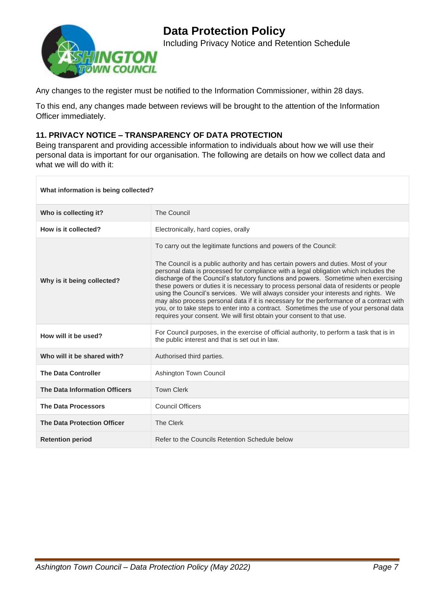

Any changes to the register must be notified to the Information Commissioner, within 28 days.

To this end, any changes made between reviews will be brought to the attention of the Information Officer immediately.

# **11. PRIVACY NOTICE – TRANSPARENCY OF DATA PROTECTION**

Being transparent and providing accessible information to individuals about how we will use their personal data is important for our organisation. The following are details on how we collect data and what we will do with it:

#### **What information is being collected?**

| Who is collecting it?              | <b>The Council</b>                                                                                                                                                                                                                                                                                                                                                                                                                                                                                                                                                                                                                                                                                                                                                                    |  |
|------------------------------------|---------------------------------------------------------------------------------------------------------------------------------------------------------------------------------------------------------------------------------------------------------------------------------------------------------------------------------------------------------------------------------------------------------------------------------------------------------------------------------------------------------------------------------------------------------------------------------------------------------------------------------------------------------------------------------------------------------------------------------------------------------------------------------------|--|
| How is it collected?               | Electronically, hard copies, orally                                                                                                                                                                                                                                                                                                                                                                                                                                                                                                                                                                                                                                                                                                                                                   |  |
| Why is it being collected?         | To carry out the legitimate functions and powers of the Council:<br>The Council is a public authority and has certain powers and duties. Most of your<br>personal data is processed for compliance with a legal obligation which includes the<br>discharge of the Council's statutory functions and powers. Sometime when exercising<br>these powers or duties it is necessary to process personal data of residents or people<br>using the Council's services. We will always consider your interests and rights. We<br>may also process personal data if it is necessary for the performance of a contract with<br>you, or to take steps to enter into a contract. Sometimes the use of your personal data<br>requires your consent. We will first obtain your consent to that use. |  |
| How will it be used?               | For Council purposes, in the exercise of official authority, to perform a task that is in<br>the public interest and that is set out in law.                                                                                                                                                                                                                                                                                                                                                                                                                                                                                                                                                                                                                                          |  |
| Who will it be shared with?        | Authorised third parties.                                                                                                                                                                                                                                                                                                                                                                                                                                                                                                                                                                                                                                                                                                                                                             |  |
| <b>The Data Controller</b>         | Ashington Town Council                                                                                                                                                                                                                                                                                                                                                                                                                                                                                                                                                                                                                                                                                                                                                                |  |
| The Data Information Officers      | <b>Town Clerk</b>                                                                                                                                                                                                                                                                                                                                                                                                                                                                                                                                                                                                                                                                                                                                                                     |  |
| <b>The Data Processors</b>         | <b>Council Officers</b>                                                                                                                                                                                                                                                                                                                                                                                                                                                                                                                                                                                                                                                                                                                                                               |  |
| <b>The Data Protection Officer</b> | <b>The Clerk</b>                                                                                                                                                                                                                                                                                                                                                                                                                                                                                                                                                                                                                                                                                                                                                                      |  |
| <b>Retention period</b>            | Refer to the Councils Retention Schedule below                                                                                                                                                                                                                                                                                                                                                                                                                                                                                                                                                                                                                                                                                                                                        |  |